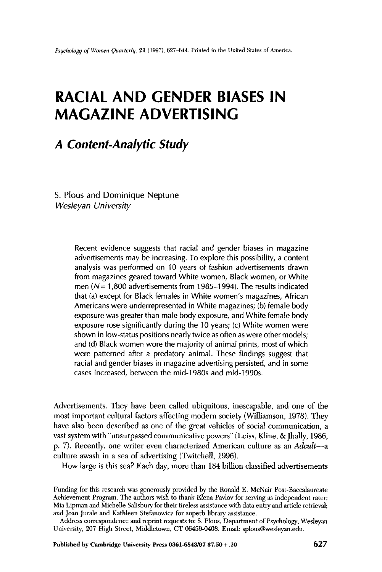# **RACIAL AND GENDER BIASES IN MAGAZINE ADVERTISING**

# *A Content-Analytic Study*

S. Pious and Dominique Neptune *Wesleyan University*

> Recent evidence suggests that racial and gender biases in magazine advertisements may be increasing. To explore this possibility, a content analysis was performed on 10 years of fashion advertisements drawn from magazines geared toward White women, Black women, or White men ( $N = 1,800$  advertisements from 1985-1994). The results indicated that (a) except for Black females in White women's magazines, African Americans were underrepresented in White magazines; (b) female body exposure was greater than male body exposure, and White female body exposure rose significantly during the 10 years; (c) White women were shown in low-status positions nearly twice as often as were other models; and (d) Black women wore the majority of animal prints, most of which were patterned after a predatory animal. These findings suggest that racial and gender biases in magazine advertising persisted, and in some cases increased, between the mid-1980s and mid-1990s.

Advertisements. They have been called ubiquitous, inescapable, and one of the most important cultural factors affecting modem society (Williamson, 1978). They have also been described as one of the great vehicles of social communication, a vast system with "unsurpassed communicative powers" (Leiss, Kline, & Jhally, 1986, p. 7). Recently, one writer even characterized American culture as an *Adcult-a* culture awash in a sea of advertising (Twitchell, 1996),

How large is this sea? Each day, more than 184 billion classified advertisements

Funding for this research was generously provided by the Ronald E. McNair Post-Baccalaureate Achievement Program. The authors wish to thank Elena Pavlov for serving as independent rater; Mia Lipman and Michelle Salisbury for their tireless assistance with data entry and article retrieval; and Joan Jurale and Kathleen Stefanowicz for superb library assistance.

Address correspondence and reprint requests to: S. Pious, Department of Psychology, Wesleyan University. 207 High Street, Middletown, CT 06459-0408. Email: splous@Wesleyan.edu.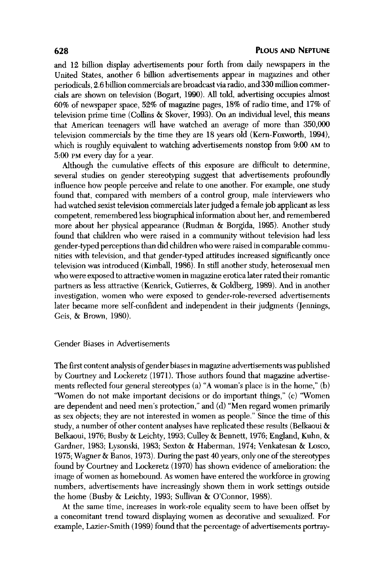and 12 billion display advertisements pour forth from daily newspapers in the United States, another 6 billion advertisements appear in magazines and other periodicals, 2.6 billion commercials are broadcast via radio, and 330 million commercials are shown on television (Bogart, 1990). All told, advertising occupies almost 60% of newspaper space, 52% of magazine pages, 18% of radio time, and 17% of television prime time (Collins & Skover, 1993). On an individual level, this means that American teenagers will have watched an average of more than 350,000 television commercials by the time they are 18 years old (Kern-Foxworth, 1994), which is roughly equivalent to watching advertisements nonstop from 9:00 AM to 5:00 PM every day for a year.

Although the cumulative effects of this exposure are difficult to determine, several studies on gender stereotyping suggest that advertisements profoundly influence how people perceive and relate to one another. For example, one study found that, compared with members of a control group, male interviewers who had watched sexist television commercials later judged a female job applicant as less competent, remembered less biographical information about her, and remembered more about her physical appearance (Rudman & Borgida, 1995). Another study found that children who were raised in a community without television had less gender-typed perceptions than did children who were raised in comparable communities with television, and that gender-typed attitudes increased significantly once television was introduced (Kimball, 1986). In still another study, heterosexual men who were exposed to attractive women in magazine erotica later rated their romantic partners as less attractive (Kenrick, Gutierres, & Goldberg, 1989). And in another investigation, women who were exposed to gender-role-reversed advertisements later became more self-confident and independent in their judgments (Jennings, Geis, & Brown, 1980).

#### Gender Biases in Advertisements

The first content analysis of gender biases in magazine advertisements was published by Courtney and Lockeretz (1971). Those authors found that magazine advertisements reflected four general stereotypes (a) "A woman's place is in the home," (b) "Women do not make important decisions or do important things," (c) "Women are dependent and need men's protection," and (d) "Men regard women primarily as sex objects; they are not interested in women as people." Since the time of this study, a number of other content analyses have replicated these results (Belkaoui & Belkaoui, 1976; Busby & Leichty, 1993; Culley & Bennett, 1976; England, Kuhn, & Gardner, 1983; Lysonski, 1983; Sexton & Haberman, 1974; Venkatesan & Losco, 1975; Wagner & Banos, 1973). During the past 40 years, only one of the stereotypes found by Courtney and Lockeretz (1970) has shown evidence of amelioration: the image of women as homebound. As women have entered the workforce in growing numbers, advertisements have increasingly shown them in work settings outside the home (Busby & Leichty, 1993; Sullivan & O'Connor, 1988).

At the same time, increases in work-role equality seem to have been offset by a concomitant trend toward displaying women as decorative and sexualized. For example, Lazier-Smith (1989) found that the percentage of advertisements portray-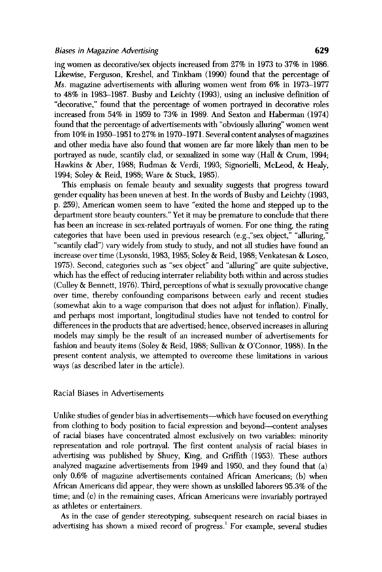ing women as decorative/sex objects increased from 27% in 1973 to 37% in 1986. Likewise, Ferguson, Kreshel, and Tinkham (1990) found that the percentage of *Ms.* magazine advertisements with alluring women went from 6% in 1973-1977 to 48% in 1983-1987. Busby and Leichty (1993), using an inclusive definition of "decorative," found that the percentage of women portrayed in decorative roles increased from 54% in 1959 to 73% in 1989. And Sexton and Haberman (1974) found that the percentage of advertisements with "obviously alluring" women went from  $10\%$  in 1950–1951 to 27% in 1970–1971. Several content analyses of magazines and other media have also found that women are far more likely than men to be portrayed as nude, scantily clad, or sexualized in some way (Hall & Crum, 1994; Hawkins & Aber, 1988; Rudman & Verdi, 1993; Signorielli, McLeod, & Healy, 1994; Soley & Reid, 1988; Ware & Stuck, 1985).

This emphasis on female beauty and sexuality suggests that progress toward gender equality has been uneven at best. **In** the words of Busby and Leichty (1993, p. 259), American women seem to have "exited the home and stepped up to the department store beauty counters." Yet it may be premature to conclude that there has been an increase in sex-related portrayals of women. For one thing, the rating categories that have been used in previous research (e.g., "sex object," "alluring," "scantily clad") vary widely from study to study, and not all studies have found an increase over time (Lysonski, 1983, 1985; Soley & Reid, 1988; Venkatesan & Lasco, 1975). Second, categories such as "sex object" and "alluring" are quite subjective, which has the effect of reducing interrater reliability both within and across studies (Culley  $\&$  Bennett, 1976). Third, perceptions of what is sexually provocative change over time, thereby confounding comparisons between early and recent studies (somewhat akin to a wage comparison that does not adjust for inflation). Finally, and perhaps most important, longitudinal studies have not tended to control for differences in the products that are advertised; hence, observed increases in alluring models may simply be the result of an increased number of advertisements for fashion and beauty items (Soley & Reid, 1988; Sullivan & O'Connor, 1988). **In** the present content analysis, we attempted to overcome these limitations in various ways (as described later in the article).

#### Racial Biases in Advertisements

Unlike studies of gender bias in advertisements-which have focused on everything from clothing to body position to facial expression and beyond—content analyses of racial biases have concentrated almost exclusively on two variables: minority representation and role portrayal. The first content analysis of racial biases in advertising was published by Shuey, King, and Griffith (1953). These authors analyzed magazine advertisements from 1949 and 1950, and they found that (a) only 0.6% of magazine advertisements contained African Americans; (b) when African Americans did appear, they were shown as unskilled laborers 95.3% of the time; and (c) in the remaining cases, African Americans were invariably portrayed as athletes or entertainers.

As in the case of gender stereotyping, subsequent research on racial biases in advertising has shown a mixed record of progress.! For example, several studies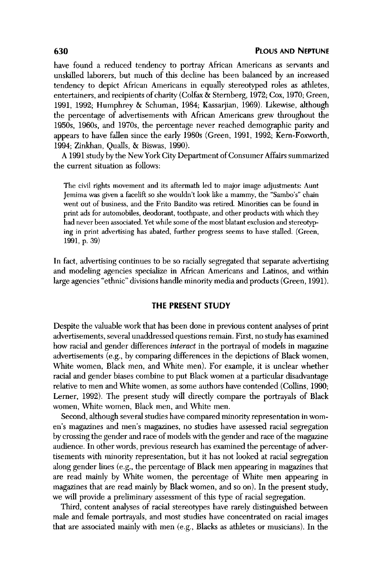have found a reduced tendency to portray African Americans as servants and unskilled laborers, but much of this decline has been balanced by an increased tendency to depict African Americans in equally stereotyped roles as athletes, entertainers, and recipients of charity (Colfax & Sternberg, 1972; Cox, 1970; Green, 1991, 1992; Humphrey & Schuman, 1984; Kassarjian, 1969). Likewise, although the percentage of advertisements with African Americans grew throughout the 1950s, 1960s, and 1970s, the percentage never reached demographic parity and appears to have fallen since the early 1980s (Green, 1991, 1992; Kern-Foxworth, 1994; Zinkhan, Qualls, & Biswas, 1990).

A 1991 study by the New York City Department of Consumer Affairs summarized the current situation as follows:

The civil rights movement and its aftermath led to major image adjustments: Aunt Jemima was given a facelift so she wouldn't look like a mammy, the "Samba's" chain went out of business, and the Frito Bandito was retired. Minorities can be found in print ads for automobiles, deodorant, toothpaste, and other products with which they had never been associated. Yet while some of the most blatant exclusion and stereotyping in print advertising has abated, further progress seems to have stalled. (Green, 1991, p. 39)

**In** fact, advertising continues to be so racially segregated that separate advertising and modeling agencies specialize in African Americans and Latinos, and within large agencies "ethnic" divisions handle minority media and products (Green, 1991).

### **THE PRESENT STUDY**

Despite the valuable work that has been done in previous content analyses of print advertisements, several unaddressed questions remain. First, no study has examined how racial and gender differences *interact* in the portrayal of models in magazine advertisements (e.g., by comparing differences in the depictions of Black women, White women, Black men, and White men). For example, it is unclear whether racial and gender biases combine to put Black women at a particular disadvantage relative to men and White women, as some authors have contended (Collins, 1990; Lerner, 1992). The present study will directly compare the portrayals of Black women, White women, Black men, and White men.

Second, although several studies have compared minority representation in women's magazines and men's magazines, no studies have assessed racial segregation by crossing the gender and race of models with the gender and race of the magazine audience. **In** other words, previous research has examined the percentage of advertisements with minority representation, but it has not looked at racial segregation along gender lines (e.g., the percentage of Black men appearing in magazines that are read mainly by White women, the percentage of White men appearing in magazines that are read mainly by Black women, and so on). **In** the present study, we will provide a preliminary assessment of this type of racial segregation.

Third, content analyses of racial stereotypes have rarely distinguished between male and female portrayals, and most studies have concentrated on racial images that are associated mainly with men (e.g., Blacks as athletes or musicians). **In the**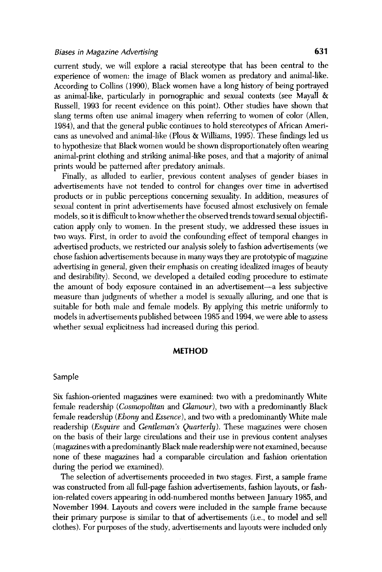current study, we will explore a racial stereotype that has been central to the experience of women: the image of Black women as predatory and animal-like. According to Collins (1990), Black women have a long history of being portrayed as animal-like, particularly in pornographic and sexual contexts (see Mayall & Russell, 1993 for recent evidence on this point). Other studies have shown that slang terms often use animal imagery when referring to women of color (Allen, 1984), and that the general public continues to hold stereotypes of African Americans as unevolved and animal-like (PIous & Williams, 1995). These findings led us to hypothesize that Black women would be shown disproportionately often wearing animal-print clothing and striking animal-like poses, and that a majority of animal prints would be patterned after predatory animals.

Finally, as alluded to earlier, previous content analyses of gender biases in advertisements have not tended to control for changes over time in advertised products or in public perceptions concerning sexuality. In addition, measures of sexual content in print advertisements have focused almost exclusively on female models, so it is difficult to know whether the observed trends toward sexual objectification apply only to women. In the present study, we addressed these issues in two ways. First, in order to avoid the confounding effect of temporal changes in advertised products, we restricted our analysis solely to fashion advertisements (we chose fashion advertisements because in many ways they are prototypic of magazine advertising in general, given their emphasis on creating idealized images of beauty and desirability). Second, we developed a detailed coding procedure to estimate the amount of body exposure contained in an advertisement-a less subjective measure than judgments of whether a model is sexually alluring, and one that is suitable for both male and female models. By applying this metric uniformly to models in advertisements published between 1985 and 1994, we were able to assess whether sexual explicitness had increased during this period.

#### **METHOD**

#### Sample

Six fashion-oriented magazines were examined: two with a predominantly White female readership *(Cosrrwpolitan* and *Glamour),* two with a predominantly Black female readership *(Ebony* and *Essence),* and two with a predominantly White male readership *(Esquire* and *Gentleman's Quarterly).* These magazines were chosen on the basis of their large circulations and their use in previous content analyses (magazines with a predominantly Black male readership were not examined, because none of these magazines had a comparable circulation and fashion orientation during the period we examined).

The selection of advertisements proceeded in two stages. First, a sample frame was constructed from all full-page fashion advertisements, fashion layouts, or fashion-related covers appearing in odd-numbered months between January 1985, and November 1994. Layouts and covers were included in the sample frame because their primary purpose is similar to that of advertisements (i.e., to model and sell clothes). For purposes of the study, advertisements and layouts were included only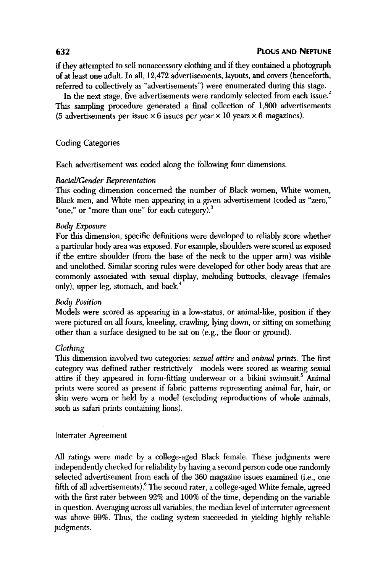if they attempted to sell nonaccessory clothing and if they contained a photograph of at least one adult. In all, 12,472 advertisements, layouts, and covers (henceforth, referred to collectively as "advertisements") were enumerated during this stage.

In the next stage, five advertisements were randomly selected from each issue.<sup>2</sup> This sampling procedure generated a final collection of 1,800 advertisements (5 advertisements per issue  $\times$  6 issues per year  $\times$  10 years  $\times$  6 magazines).

# Coding Categories

Each advertisement was coded along the following four dimensions.

# *Racial/Gender Representation*

This coding dimension concerned the number of Black women, White women, Black men, and White men appearing in a given advertisement (coded as "zero," "one," or "more than one" for each category).<sup>3</sup>

# *Body Exposure*

For this dimension, specific definitions were developed to reliably score whether a particular body area was exposed. For example, shoulders were scored as exposed if the entire shoulder (from the base of the neck to the upper arm) was visible and unclothed. Similar scoring rules were developed for other body areas that are commonly associated with sexual display, including buttocks, cleavage (females only), upper leg, stomach, and back.<sup>4</sup>

# *Body Position*

Models were scored as appearing in a low-status, or animal-like, position if they were pictured on all fours, kneeling, crawling, lying down, or sitting on something other than a surface designed to be sat on (e.g., the floor or ground).

# *Clothing*

This dimension involved two categories: *sexual attire* and *animal prints.* The first category was defined rather restrictively-models were scored as wearing sexual attire if they appeared in form-fitting underwear or a bikini swimsuit.<sup>5</sup> Animal prints were scored as present if fabric patterns representing animal fur, hair, or skin were worn or held by a model (excluding reproductions of whole animals, such as safari prints containing lions).

### Interrater Agreement

All ratings were made by a college-aged Black female. These judgments were independently checked for reliability by having a second person code one randomly selected advertisement from each of the 360 magazine issues examined (i.e., one fifth of all advertisements).<sup>6</sup> The second rater, a college-aged White female, agreed with the first rater between 92% and 100% of the time, depending on the variable in question. Averaging across all variables, the median level of interrater agreement was above 99%. Thus, the coding system succeeded in yielding highly reliable judgments.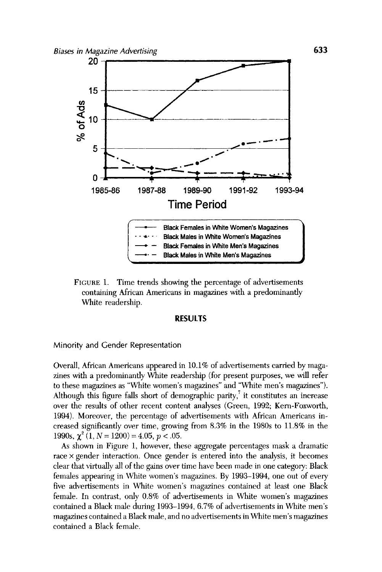

FIGURE 1. Time trends showing the percentage of advertisements containing African Americans in magazines with a predominantly White readership.

#### RESULTS

#### Minority and Gender Representation

Overall, African Americans appeared in 10.1% of advertisements carried by magazines with a predominantly White readership (for present purposes, we will refer to these magazines as "White women's magazines" and "White men's magazines"). Although this figure falls short of demographic parity,<sup>7</sup> it constitutes an increase over the results of other recent content analyses (Green, 1992; Kern-Foxworth, 1994). Moreover, the percentage of advertisements with African Americans increased Significantly over time, growing from 8.3% in the 1980s to 11.8% in the 1990s,  $\chi^2$  (1,  $N = 1200$ ) = 4.05,  $p < .05$ .

As shown in Figure 1, however, these aggregate percentages mask a dramatic race x gender interaction. Once gender is entered into the analysis, it becomes clear that virtually all of the gains over time have been made in one category: Black females appearing in White women's magazines. By 1993-1994, one out of every five advertisements in White women's magazines contained at least one Black female. In contrast, only 0.8% of advertisements in White women's magazines contained a Black male during 1993-1994, 6.7% of advertisements in White men's magazines contained a Black male, and no advertisements in White men's magazines contained a Black female.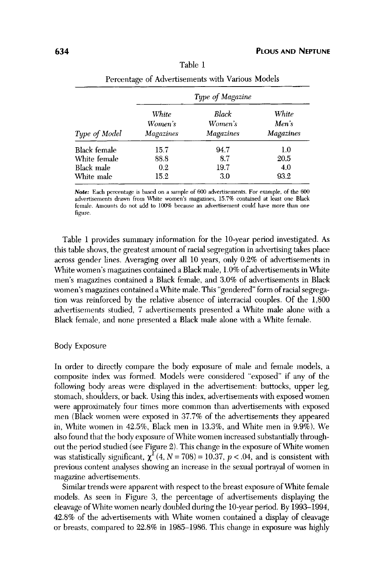| Percentage of Advertisements with Various Models                       |                               |                               |                             |
|------------------------------------------------------------------------|-------------------------------|-------------------------------|-----------------------------|
| Type of Model                                                          | Type of Magazine              |                               |                             |
|                                                                        | White<br>Women's<br>Magazines | Black<br>Women's<br>Magazines | White<br>Men's<br>Magazines |
| <b>Black</b> female<br>White female<br><b>Black male</b><br>White male | 15.7<br>88.8<br>0.2<br>15.2   | 94.7<br>8.7<br>19.7<br>3.0    | 1.0<br>20.5<br>4.0<br>93.2  |

Table 1 Percentage of Advertisements with Various Models

*Note:* Each percentage is based on a sample of 600 advertisements. For example, of the 600 advertisements drawn from White women's magazines. 15.7% contained at least one Black female. Amounts do not add to 100% because an advertisement could have more than one figure.

Table 1 provides summary information for the 10-year period investigated. As this table shows, the greatest amount of racial segregation in advertising takes place across gender lines. Averaging over all 10 years, only 0.2% of advertisements in White women's magazines contained a Black male, 1.0% of advertisements in White men's magazines contained a Black female, and 3.0% of advertisements in Black women's magazines contained a White male. This "gendered" form of racial segregation was reinforced by the relative absence of interracial couples. Of the 1,800 advertisements studied, 7 advertisements presented a White male alone with a Black female, and none presented a Black male alone with a White female.

#### Body Exposure

In order to directly compare the body exposure of male and female models, a composite index was formed. Models were considered "exposed" if any of the following body areas were displayed in the advertisement: buttocks, upper leg, stomach, shoulders, or back. Using this index, advertisements with exposed women were approximately four times more common than advertisements with exposed men (Black women were exposed in 37.7% of the advertisements they appeared in, White women in 42.5%, Black men in 13.3%, and White men in 9.9%). We also found that the body exposure of White women increased substantially throughout the period studied (see Figure 2). This change in the exposure of White women was statistically significant,  $\chi^2$  (4, *N* = 708) = 10.37, *p* < .04, and is consistent with previous content analyses showing an increase in the sexual portrayal of women in magazine advertisements.

Similar trends were apparent with respect to the breast exposure of White female models. As seen in Figure 3, the percentage of advertisements displaying the cleavage ofWhite women nearly doubled during the 1O-year period. By 1993-1994, 42.8% of the advertisements with White women contained a display of cleavage or breasts, compared to 22.8% in 1985-1986. This change in exposure was highly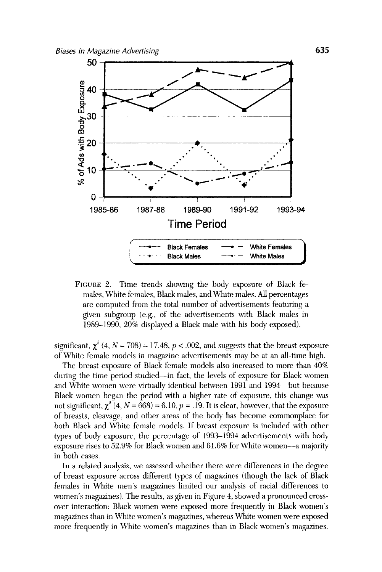

FIGURE 2. Time trends showing the body exposure of Black females, White females, Black males, and White males. All percentages are computed from the total number of advertisements featuring a given subgroup (e.g., of the advertisements with Black males in 1989-1990, 20% displayed a Black male with his body exposed).

significant,  $\chi^2$  (4, *N* = 708) = 17.48, *p* < .002, and suggests that the breast exposure of White female models in magazine advertisements may be at an all-time high.

The breast exposure of Black female models also increased to more than 40% during the time period studied-in fact, the levels of exposure for Black women and White women were virtually identical between 1991 and 1994-but because Black women began the period with a higher rate of exposure, this change was not significant,  $\chi^2$  (4, *N* = 668) = 6.10, *p* = .19. It is clear, however, that the exposure of breasts, cleavage, and other areas of the body has become commonplace for both Black and White female models. If breast exposure is included with other types of body exposure, the percentage of 1993-1994 advertisements with body exposure rises to 52.9% for Black women and 61.6% for White women-a majority in both cases.

In a related analysis, we assessed whether there were differences in the degree of breast exposure across different types of magazines (though the lack of Black females in White men's magazines limited our analysis of racial differences to women's magazines). The results, as given in Figure 4, showed a pronounced crossover interaction: Black women were exposed more frequently in Black women's magazines than in White women's magazines, whereas White women were exposed more frequently in White women's magazines than in Black women's magazines.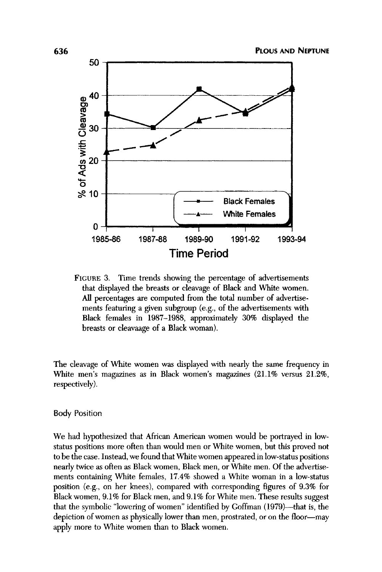

FIGURE 3. Time trends showing the percentage of advertisements that displayed the breasts or cleavage of Black and White women. All percentages are computed from the total number of advertisements featuring a given subgroup (e.g., of the advertisements with Black females in 1987-1988, approximately 30% displayed the breasts or cleavaage of a Black woman).

The cleavage of White women was displayed with nearly the same frequency in White men's magazines as in Black women's magazines (21.1% versus 21.2%, respectively).

#### Body Position

We had hypothesized that African American women would be portrayed in lowstatus positions more often than would men or White women, but this proved not to be the case. Instead, we found that White women appeared in low-status positions nearly twice as often as Black women, Black men, or White men. Of the advertisements containing White females, 17.4% showed a White woman in a low-status position (e.g., on her knees), compared with corresponding figures of 9.3% for Black women, 9.1% for Black men, and 9.1% for White men. These results suggest that the symbolic "lowering of women" identified by Goffman (1979)---that is, the depiction of women as physically lower than men, prostrated, or on the floor--may apply more to White women than to Black women.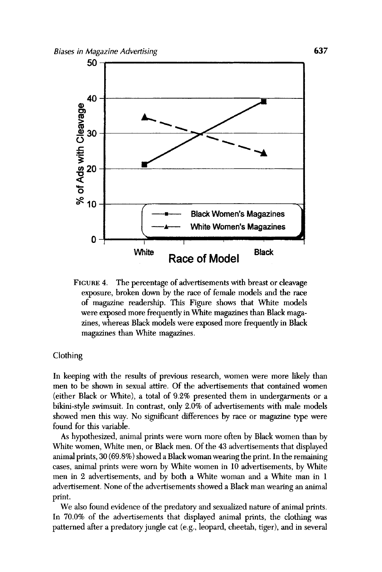

FIGURE 4. The percentage of advertisements with breast or cleavage exposure, broken down by the race of female models and the race of magazine readership. This Figure shows that White models were exposed more frequently in White magazines than Black magazines, whereas Black models were exposed more frequently in Black magazines than White magazines.

#### Clothing

In keeping with the results of previous research, women were more likely than men to be shown in sexual attire. Of the advertisements that contained women (either Black or White), a total of 9.2% presented them in undergarments or a bikini-style swimsuit. In contrast, only 2.0% of advertisements with male models showed men this way. No significant differences by race or magazine type were found for this variable.

As hypothesized, animal prints were worn more often by Black women than by White women, White men, or Black men. Of the 43 advertisements that displayed animal prints, 30 (69.8%) showed a Blackwoman wearing the print. In the remaining cases, animal prints were worn by White women in 10 advertisements, by White men in 2 advertisements, and by both a White woman and a White man in 1 advertisement. None of the advertisements showed a Black man wearing an animal print.

We also found evidence of the predatory and sexualized nature of animal prints. In 70.0% of the advertisements that displayed animal prints, the clothing was patterned after a predatory jungle cat (e.g., leopard, cheetah, tiger), and in several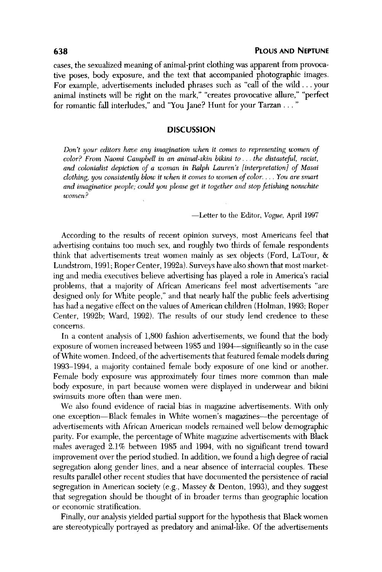cases, the sexualized meaning of animal-print clothing was apparent from provocative poses, body exposure, and the text that accompanied photographic images. For example, advertisements included phrases such as "call of the wild ... your animal instincts will be right on the mark," "creates provocative allure," "perfect for romantic fall interludes," and "You Jane? Hunt for your Tarzan ... "

#### **DISCUSSION**

*Don't your editors have any imagination when it comes to representing women of color? From Naomi Campbell in an animal-skin bikini to* ... *the distasteful, racist, and colonialist depiction of a woman in Ralph Lauren's [interpretatioTI] of Masai clothing, you consistently blow it when it carnes to wornen of color.* ... Y*ml are smart and imaginative people; could you please get it together and stop fetishing nonwhite women?*

-Letter to the Editor, *Vogue,* April 1997

According to the results of recent opinion surveys, most Americans feel that advertising contains too much sex, and roughly two thirds of female respondents think that advertisements treat women mainly as sex objects (Ford, LaTour, & Lundstrom, 1991; Roper Center, 1992a). Surveys have also shown that most marketing and media executives believe advertising has played a role in America's racial problems, that a majority of African Americans feel most advertisements "are designed only for White people," and that nearly half the public feels advertising has had a negative effect on the values of American children (Holman, 1993; Roper Center, 1992b; Ward, 1992). The results of our study lend credence to these concerns.

In a content analysis of 1,800 fashion advertisements, we found that the body exposure of women increased between 1985 and 1994—significantly so in the case ofWhite women. Indeed, ofthe advertisements that featured female models during 1993-1994, a majority contained female body exposure of one kind or another. Female body exposure was approximately four times more common than male body exposure, in part because women were displayed in underwear and bikini swimsuits more often than were men.

We also found evidence of racial bias in magazine advertisements. With only one exception-Black females in White women's magazines-the percentage of advertisements with African American models remained well below demographic parity. For example, the percentage of White magazine advertisements with Black males averaged 2.1% between 1985 and 1994, with no significant trend toward improvement over the period studied. In addition, we found a high degree ofracial segregation along gender lines, and a near absence of interracial couples. These results parallel other recent studies that have documented the persistence of racial segregation in American society (e.g., Massey & Denton, 1993), and they suggest that segregation should be thought of in broader terms than geographic location or economic stratification.

Finally, our analysis yielded partial support for the hypothesis that Black women are stereotypically portrayed as predatory and animal-like. Of the advertisements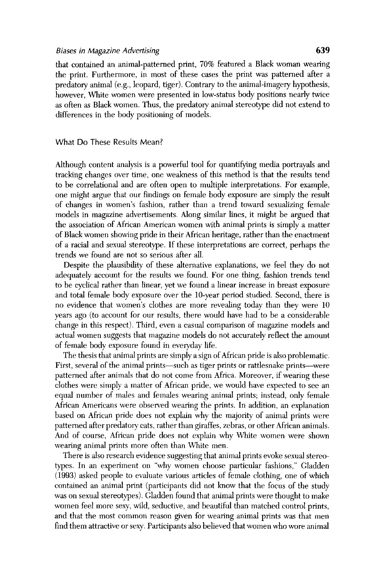that contained an animal-patterned print, 70% featured a Black woman wearing the print. Furthennore, in most of these cases the print was patterned after a predatory animal (e.g., leopard, tiger). Contrary to the animal-imagery hypothesis, however, White women were presented in low-status body positions nearly twice as often as Black women. Thus, the predatory animal stereotype did not extend to differences in the body positioning of models.

#### What Do These Results Mean?

Although content analysis is a powerful tool for quantifying media portrayals and tracking changes over time, one weakness of this method is that the results tend to be correlational and are often open to multiple interpretations. For example, one might argue that our findings on female body exposure are simply the result of changes in women's fashion, rather than a trend toward sexualizing female models in magazine advertisements. Along similar lines, it might be argued that the association of African American women with animal prints is simply a matter of Black women showing pride in their African heritage, rather than the enactment of a racial and sexual stereotype. If these interpretations are correct, perhaps the trends we found are not so serious after all.

Despite the plausibility of these alternative explanations, we feel they do not adequately account for the results we found. For one thing, fashion trends tend to be cyclical rather than linear, yet we found a linear increase in breast exposure and total female body exposure over the 1O-year period studied. Second, there is no evidence that women's clothes are more revealing today than they were 10 years ago (to account for our results, there would have had to be a considerable change in this respect). Third, even a casual comparison of magazine models and actual women suggests that magazine models do not accurately reflect the amount of female body exposure found in everyday life.

The thesis that animal prints are simply a sign of African pride is also problematic. First, several of the animal prints—such as tiger prints or rattlesnake prints—were patterned after animals that do not come from Africa. Moreover, if wearing these clothes were simply a matter of African pride, we would have expected to see an equal number of males and females wearing animal prints; instead, only female African Americans were observed wearing the prints. In addition, an explanation based on African pride does not explain why the majority of animal prints were patterned after predatory cats, rather than giraffes, zebras, or other African animals. And of course, African pride does not explain why White women were shown wearing animal prints more often than White men.

There is also research evidence suggesting that animal prints evoke sexual stereotypes. In an experiment on "why women choose particular fashions," Gladden (1993) asked people to evaluate various articles of female clothing, one of which contained an animal print (participants did not know that the focus of the study was on sexual stereotypes). Gladden found that animal prints were thought to make women feel more sexy, wild, seductive, and beautiful than matched control prints, and that the most common reason given for wearing animal prints was that men find them attractive or sexy. Participants also believed that women who wore animal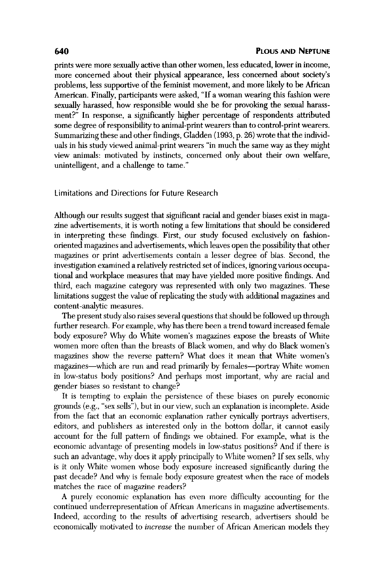#### **640 PLOUS AND NEPTUNE**

prints were more sexually active than other women, less educated, lower in income, more concerned about their physical appearance, less concerned about society's problems, less supportive of the feminist movement, and more likely to be African American. Finally, participants were asked, "If a woman wearing this fashion were sexually harassed, how responsible would she be for provoking the sexual harassment?" In response, a significantly higher percentage of respondents attributed some degree of responsibility to animal-print wearers than to control-print wearers. Summarizing these and other findings, Gladden (1993, p. 26) wrote that the individuals in his study viewed animal-print wearers "in much the same way as they might view animals: motivated by instincts, concerned only about their own welfare, unintelligent, and a challenge to tame."

Limitations and Directions for Future Research

Although our results suggest that significant racial and gender biases exist in magazine advertisements, it is worth noting a few limitations that should be considered in interpreting these findings. First, our study focused exclusively on fashionoriented magazines and advertisements, which leaves open the possibility that other magazines or print advertisements contain a lesser degree of bias. Second, the investigation examined a relatively restricted set of indices, ignoring various occupational and workplace measures that may have yielded more positive findings. And third, each magazine category was represented with only two magazines. These limitations suggest the value of replicating the study with additional magazines and content-analytic measures.

The present study also raises several questions that should be followed up through further research. For example, why has there been a trend toward increased female body exposure? Why do White women's magazines expose the breasts of White women more often than the breasts of Black women, and why do Black women's magazines show the reverse pattern? What does it mean that White women's magazines—which are run and read primarily by females—portray White women in low-status body positions? And perhaps most important, why are racial and gender biases so resistant to change?

It is tempting to explain the persistence of these biases on purely economic grounds (e.g., "sex sells"), but in our view, such an explanation is incomplete. Aside from the fact that an economic explanation rather cynically portrays advertisers, editors, and publishers as interested only in the bottom dollar, it cannot easily account for the full pattern of findings we obtained. For example, what is the economic advantage of presenting models in low-status positions? And if there is such an advantage, why does it apply principally to White women? If sex sells, why is it only White women whose body exposure increased significantly during the past decade? And why is female body exposure greatest when the race of models matches the race of magazine readers?

A purely economic explanation has even more difficulty accounting for the continued underrepresentation of African Americans in magazine advertisements. Indeed, according to the results of advertising research, advertisers should be economically motivated to *increase* the number of African American models they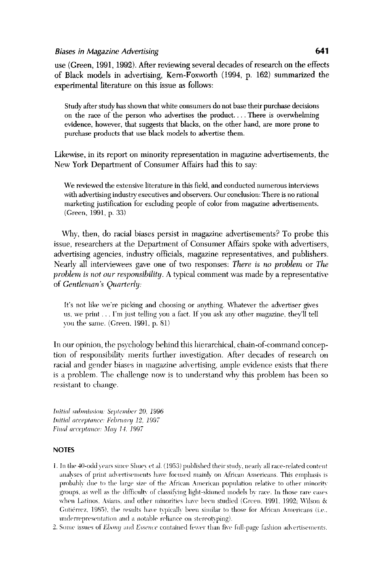use (Green, 1991, 1992). After reviewing several decades of research on the effects of Black models in advertising, Kern-Foxworth (1994, p. 162) summarized the experimental literature on this issue as follows:

Study after study has shown that white consumers do not base their purchase decisions on the race of the person who advertises the product. ... There is overwhelming evidence, however, that suggests that blacks, on the other hand, are more prone to purchase products that use black models to advertise them.

Likewise, in its report on minority representation in magazine advertisements, the New York Department of Consumer Affairs had this to say:

We reviewed the extensive literature in this field, and conducted numerous interviews with advertising industry executives and observers. Our conclusion: There is no rational marketing justification for excluding people of color from magazine advertisements. (Green, 1991, p. 33)

Why, then, do racial biases persist in magazine advertisements? To probe this issue, researchers at the Department of Consumer Affairs spoke with advertisers, advertising agencies, industry officials, magazine representatives, and publishers. Nearly all interviewees gave one of two responses: *There* is *no problem* or *The problem* is *not our responsibility.* A typical comment was made by a representative of *Gentleman's Quarterly:*

It's not like we're picking and choosing or anything. Whatever the advertiser gives us, we print ... I'm just telling you a fact. If you ask any other magazine, they'll tell you the same. (Green. 1991, p. 8l)

In our opinion, the psychology behind this hierarchical, chain-of-command conception of responsibility merits further investigation. After decades of research on racial and gender biases in magazine advertising, ample evidence exists that there is a problem. The challenge now is to understand why this problem has been so resistant to change.

*Initial submission: September 20, 1996 Initial acceptance: February 12, 1997 Final acceptance: May* 14, 1997

#### NOTES

- 1. In the 40-odd years since Shuev et al. (1953) published their study, nearly all race-related content analvses of print advertisements have focused mainly on African Americans. This emphasis is probably due to the large size of the African American population relative to other minority groups, as well as the difficulty of classifying light-skinned models by race. In those rare cases when Latinos. Asians. and other minorities have been studied (Green. 1991. 1992; Wilson & Gutiérrez, 1985), the results have typically been similar to those for African Americans (i.e., underrepresentation and a notable reliance on stereotyping).
- 2. Some issues of *Ebony* and *Essence* contained fewer than five full-page fashion advertisements.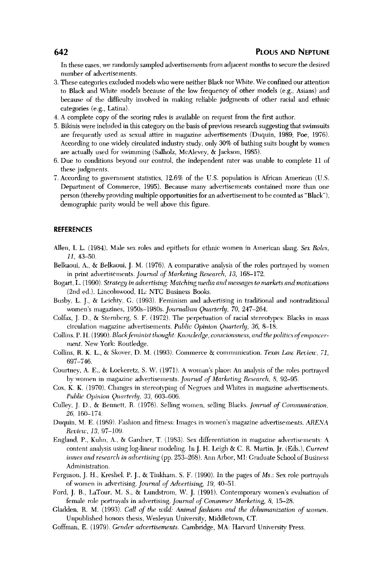**In** these cases, we randomly sampled advertisements from adjacent months to secure the desired number of advertisements.

- 3. These categories excluded models who were neither Black nor White. We confined our attention to Black and White models because of the low frequency of other models (e.g., Asians) and because of the difficulty involved in making reliable judgments of other racial and ethnic categories (e.g., Latina).
- 4. A complete copy of the scoring rules is available on request from the first author.
- 5. Bikinis were included in this category on the basis of previous research suggesting that swimsuits are frequently used as sexual attire in magazine advertisements (Duquin, 1989; Poe, 1976). According to one widely circulated industry study, only 30% of bathing suits bought by women are actually used for swimming (Salholz, McAievey, & Jackson, 1985).
- 6. Due to conditions beyond our control, the independent rater was unable to complete 11 of these judgments.
- 7. According to government statistics, 12.6% of the U.S. population is African American (U.S. Department of Commerce, 1995). Because many advertisements contained more than one person (thereby providing multiple opportunities for an advertisement to be counted as "Black"), demographic parity would be well above this figure.

#### **REFERENCES**

- Allen, I. L. (1984). Male sex roles and epithets for ethnic women in American slang. *Sex Roles,* 11, 43-50.
- Belkaoui, A., & Belkaoui, J. M. (1976). A comparative analysis of the roles portrayed by women in print advertisements. *journal of Marketing Research,* 13, 168-172.
- Bogart, L. (J990). *Strategy in advertising: Matching media and messages to markets and motivations* (2nd ed.). Lincolnwood, IL: NTC Business Books.
- Busby, L. J., & Leichty, G. (1993). Feminism and advertising in traditional and nontraditional women's magazines, 1950s-1980s. *journalism Quarterly, 70, 247-264.*
- Colfax, J. D., & Sternberg, S. F. (1972). The perpetuation of racial stereotypes: Blacks in mass circulation magazine advertisements. *Public Opinion Quarterly,* 36, 8-18.
- Collins, P. H. (1990). *Blackfeminist thought: Knolcledge, consciousness, and the politics ofempou:erment.* New York: Routledge.
- Collins, R. K. L., & Skover. D. M. (1993). Commerce & communication. *Texas Lau; Revieu', 71,* 697-746.
- Courtney, A. E., & Lockeretz, S. W. (1971). A woman's place: An analysis of the roles portrayed by women in magazine advertisements. *journal of Marketing Research,* 8, 92-95.
- Cox, K. K. (1970). Changes in stereotyping of Negroes and Whites in magazine advertisements, *Public* Opinion *Quarterly,* 33, 603-606.
- Culley, J. D., & Bennett, R. (1976). Selling women, selling Blacks. *Journal of Communication*, 26, 160-174.
- Duquin, M. E. (1989). Fashion and Iltness: Images in women's magazine advertisements. *ARENA Revierc,* 13, 97-109.
- England, P., Kuhn, A., & Gardner, T. (1983). Sex differentiation in magazine advertisements: A content analysis using log-linear modeling. In J. H. Leigh & C. R. Martin, Jr. (Eds.), *Current issues and research in advertising* (pp. 253-268). Ann Arbor, MI: Graduate School of Business Administration.
- Ferguson, J. H., Kreshel. P. J., & Tinkham, S. F. (1990). In the pages of *Ms.:* Sex role portrayals of women in advertising. *Journal of Advertising*, 19, 40-51.
- Ford, J. B., LaTour, M. S., & Lundstrom, W. J. (1991). Contemporary women's evaluation of female role portrayals in advertising. *journal* of *Comurner Marketing,* 8, 15-28.
- Gladden, R, M. (1993). *Call of the wild: Animal fashions and the dehumanization of women.* Unpublished honors thesis, Wesleyan University, Middletown, CT.
- Goffman, E. (1979). *Gender advertisements.* Cambridge, MA: Harvard University Press.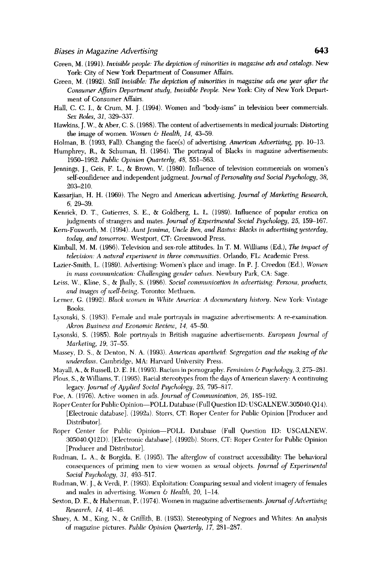- Green, M. (1991). *Invisible people: The depiction of minorities in magazine ads and catalogs.* New York: City of New York Department of Consumer Affairs.
- Green, M. (1992). *Still invisible: The depiction of minorities in magazine ads one year after the Consumer Affairs Department study, Invisible People.* New York: City of New York Department of Consumer Affairs.
- Hall, C. C. **I.,** & Crum, M. J. (1994). Women and "body-isms" in television beer commercials. *Sex Roles,* 31, 329-337.
- Hawkins, J. W., & Aber, C. S. (1988). The content of advertisements in medical journals: Distorting the image of women. *Women* & *Health,* 14, 43-59.
- Holman, B. (1993, Fall). Changing the face(s) of advertising. *American Advertising*, pp. 10–13.
- Humphrey, R., & Schuman, H. (1984). The portrayal of Blacks in magazine advertisements: 1950-1982. *Public Opinion Quarterly,* 48, 551-563.
- Jennings, J., Geis, F. L., & Brown, V. (1980). Influence of television commercials on women's self-confidence and independent judgment. *Journal of Personality and Social Psychology*, 38, 203-210.
- Kassarjian, H. H. (1969). The Negro and American advertising. *Journal of Marketing Research,* 6,29-39.
- Kenrick, D. T., Gutierres, S. E., & Goldberg, L. L. (1989). Influence of popular erotica on judgments of strangers and mates. *Journal of Experimental Social Psychology,* 25, 159-167.
- Kern-Foxworth, M. (1994). *Aunt Jemima, Uncle Ben, and Rastus: Blacks in advertising yesterday, today, and tonwrrow.* \Vestport, CT: Greenwood Press.
- Kimball, M. M. (1986). Television and sex-role attitudes. **In** T. M. Williams (Ed.), *The impact of television:* A *natural experiment in three communities.* Orlando, FL: Academic Press.
- Lazier-Smith, L. (1989). Advertising: Women's place and image. In P. J. Creedon (Ed.), *Women in mass communication: Challenging gender values.* Newbury Park, CA: Sage.
- Leiss, W., Kline, S., & Jhally, S. (1986). *Social communication in advertising: Persons, products, and images of well-being.* Toronto: Methuen.
- Lerner, G. (1992). *Black women in White America:* A *documentary histonj.* New York: Vintage Books.
- Lysonski, S. (1983). Female and male portrayals in magazine advertisements: A re-examination. *Akron Business and Economic Revietc,* 14, 45--50.
- Lysonski, S. (1985). Role portrayals in British magazine advertisements. *European Journal of Marketing,* 19, 37-55.
- Massey, D. S., & Denton, N. A. (1993). *American apartheid: Segregation and the making of the underclass.* Cambridge, MA: Harvard University Press.
- Mayall, A., & Russell, D. E. H. (1993). Racism in pornography. *Feminism* & *Psychology,* 3, 275--281.
- Plous, S., & Williams, T. (1995). Racial stereotypes from the days of American slavery: A continuing legacy. *Journal of Applied Social Psychology*, 25, 795-817.
- Poe, A. (1976). Active women in ads. *Journal of Communication,* 26, 185--192.
- Roper Centerfor Public Opinion-POLL Database (Full Question ID: USGALNEW.305040.QI4). [Electronic database]. (1992a). Storrs, CT: Roper Center for Public Opinion [Producer and Distributor].
- Roper Center for Public Opinion-POLL Database (Full Question ID: USGALNEW. 305040.QI2D). [Electronic database]. (1992b). Storrs, CT: Roper Center for Public Opinion [Producer and Distributor].
- Rudman, L. A., & Borgida, E. (1995). The afterglow of construct accessibility: The behavioral consequences of priming men to view women as sexual objects. *Journal of Experimental Social Psychology,* 31, 493~517.
- Rudman, W. J., & Verdi, P. (1993). Exploitation: Comparing sexual and violent imagery of females and males in advertising. *Women* & *Health, 20,* 1-14.
- Sexton, D. E., & Haberman, P. (1974). Women in magazine advertisements. Journal of Advertising *Research,* 14, 41-46.
- Shuey, A. M., King, N., & Griffith, B. (1953). Stereotyping of Negroes and Whites: An analysis of magazine pictures. *Public Opinion Quarterly,* 17, 281-287.